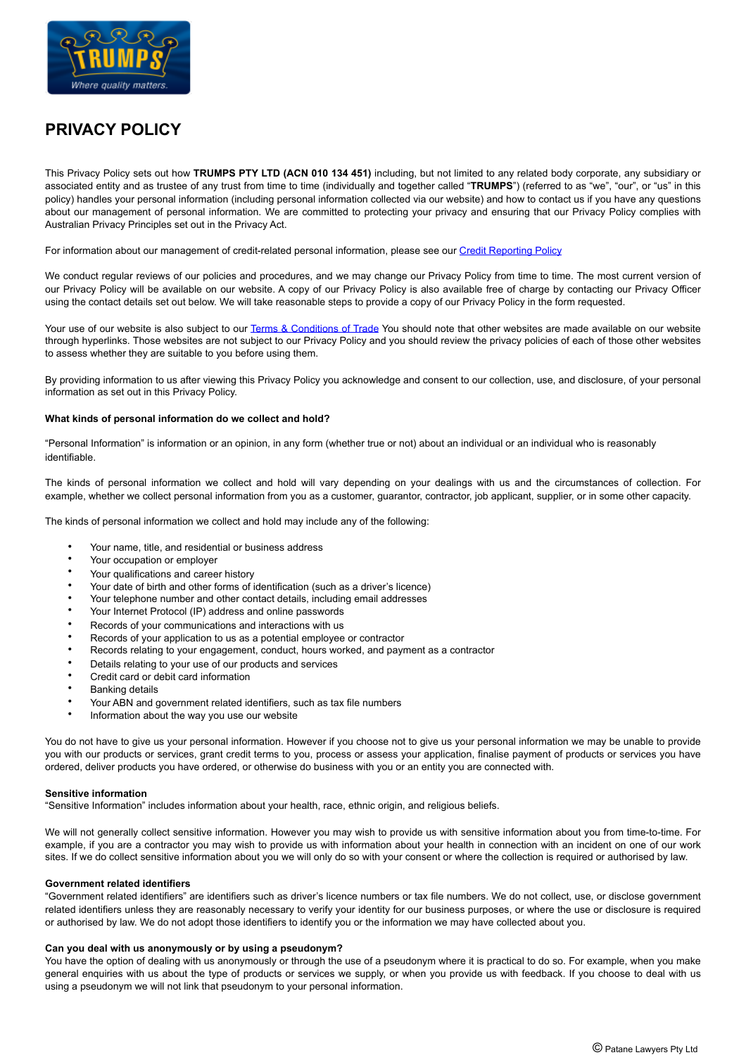

# **PRIVACY POLICY**

This Privacy Policy sets out how **TRUMPS PTY LTD (ACN 010 134 451)** including, but not limited to any related body corporate, any subsidiary or associated entity and as trustee of any trust from time to time (individually and together called "**TRUMPS**") (referred to as "we", "our", or "us" in this policy) handles your personal information (including personal information collected via our website) and how to contact us if you have any questions about our management of personal information. We are committed to protecting your privacy and ensuring that our Privacy Policy complies with Australian Privacy Principles set out in the Privacy Act.

For information about our management of credit-related personal information, please see our [Credit Reporting Policy](https://www.trumps.com.au/policies/#credit-reporting-policy)

We conduct regular reviews of our policies and procedures, and we may change our Privacy Policy from time to time. The most current version of our Privacy Policy will be available on our website. A copy of our Privacy Policy is also available free of charge by contacting our Privacy Officer using the contact details set out below. We will take reasonable steps to provide a copy of our Privacy Policy in the form requested.

Your use of our website is also subject to our [Terms & Conditions of Trade](https://www.trumps.com.au/policies/#terms-of-trade) You should note that other websites are made available on our website through hyperlinks. Those websites are not subject to our Privacy Policy and you should review the privacy policies of each of those other websites to assess whether they are suitable to you before using them.

By providing information to us after viewing this Privacy Policy you acknowledge and consent to our collection, use, and disclosure, of your personal information as set out in this Privacy Policy.

## **What kinds of personal information do we collect and hold?**

"Personal Information" is information or an opinion, in any form (whether true or not) about an individual or an individual who is reasonably identifiable.

The kinds of personal information we collect and hold will vary depending on your dealings with us and the circumstances of collection. For example, whether we collect personal information from you as a customer, guarantor, contractor, job applicant, supplier, or in some other capacity.

The kinds of personal information we collect and hold may include any of the following:

- Your name, title, and residential or business address
- Your occupation or employer
- Your qualifications and career history
- Your date of birth and other forms of identification (such as a driver's licence)
- Your telephone number and other contact details, including email addresses
- Your Internet Protocol (IP) address and online passwords
- Records of your communications and interactions with us
- Records of your application to us as a potential employee or contractor
- Records relating to your engagement, conduct, hours worked, and payment as a contractor
- Details relating to your use of our products and services
- Credit card or debit card information
- **Banking details**
- Your ABN and government related identifiers, such as tax file numbers
- Information about the way you use our website

You do not have to give us your personal information. However if you choose not to give us your personal information we may be unable to provide you with our products or services, grant credit terms to you, process or assess your application, finalise payment of products or services you have ordered, deliver products you have ordered, or otherwise do business with you or an entity you are connected with.

## **Sensitive information**

"Sensitive Information" includes information about your health, race, ethnic origin, and religious beliefs.

We will not generally collect sensitive information. However you may wish to provide us with sensitive information about you from time-to-time. For example, if you are a contractor you may wish to provide us with information about your health in connection with an incident on one of our work sites. If we do collect sensitive information about you we will only do so with your consent or where the collection is required or authorised by law.

## **Government related identifiers**

"Government related identifiers" are identifiers such as driver's licence numbers or tax file numbers. We do not collect, use, or disclose government related identifiers unless they are reasonably necessary to verify your identity for our business purposes, or where the use or disclosure is required or authorised by law. We do not adopt those identifiers to identify you or the information we may have collected about you.

## **Can you deal with us anonymously or by using a pseudonym?**

You have the option of dealing with us anonymously or through the use of a pseudonym where it is practical to do so. For example, when you make general enquiries with us about the type of products or services we supply, or when you provide us with feedback. If you choose to deal with us using a pseudonym we will not link that pseudonym to your personal information.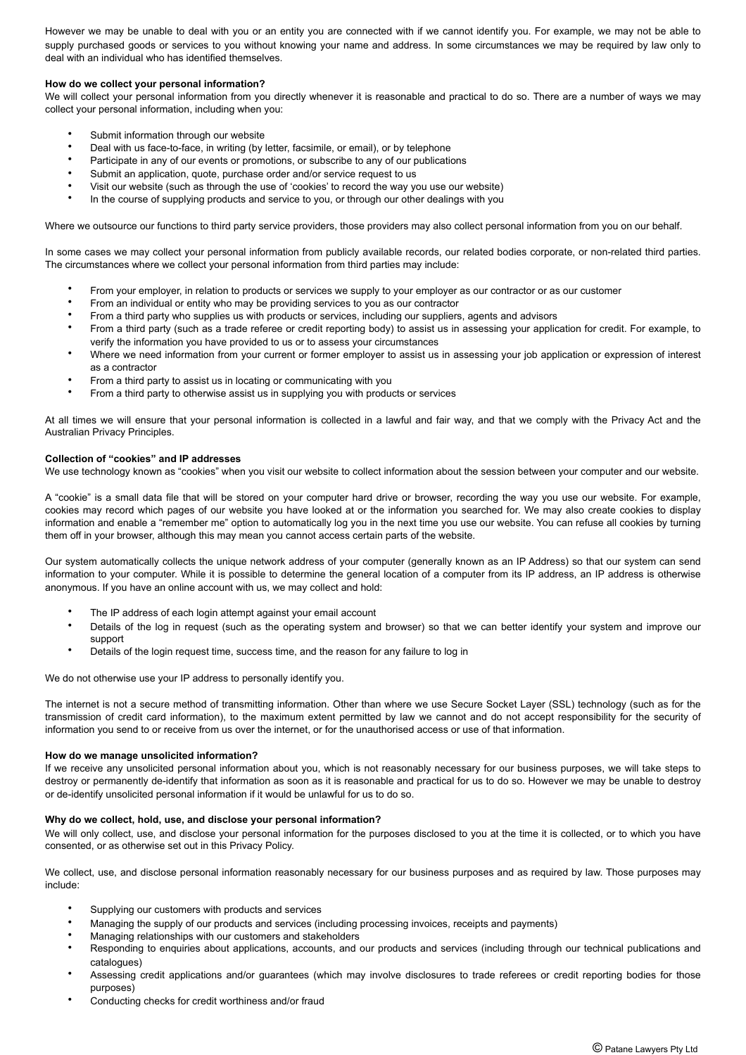However we may be unable to deal with you or an entity you are connected with if we cannot identify you. For example, we may not be able to supply purchased goods or services to you without knowing your name and address. In some circumstances we may be required by law only to deal with an individual who has identified themselves.

## **How do we collect your personal information?**

We will collect your personal information from you directly whenever it is reasonable and practical to do so. There are a number of ways we may collect your personal information, including when you:

- Submit information through our website
- Deal with us face-to-face, in writing (by letter, facsimile, or email), or by telephone
- Participate in any of our events or promotions, or subscribe to any of our publications
- Submit an application, quote, purchase order and/or service request to us
- Visit our website (such as through the use of 'cookies' to record the way you use our website)
- In the course of supplying products and service to you, or through our other dealings with you

Where we outsource our functions to third party service providers, those providers may also collect personal information from you on our behalf.

In some cases we may collect your personal information from publicly available records, our related bodies corporate, or non-related third parties. The circumstances where we collect your personal information from third parties may include:

- From your employer, in relation to products or services we supply to your employer as our contractor or as our customer
- From an individual or entity who may be providing services to you as our contractor
- From a third party who supplies us with products or services, including our suppliers, agents and advisors
- From a third party (such as a trade referee or credit reporting body) to assist us in assessing your application for credit. For example, to verify the information you have provided to us or to assess your circumstances
- Where we need information from your current or former employer to assist us in assessing your job application or expression of interest as a contractor
- From a third party to assist us in locating or communicating with you
- From a third party to otherwise assist us in supplying you with products or services

At all times we will ensure that your personal information is collected in a lawful and fair way, and that we comply with the Privacy Act and the Australian Privacy Principles.

## **Collection of "cookies" and IP addresses**

We use technology known as "cookies" when you visit our website to collect information about the session between your computer and our website.

A "cookie" is a small data file that will be stored on your computer hard drive or browser, recording the way you use our website. For example, cookies may record which pages of our website you have looked at or the information you searched for. We may also create cookies to display information and enable a "remember me" option to automatically log you in the next time you use our website. You can refuse all cookies by turning them off in your browser, although this may mean you cannot access certain parts of the website.

Our system automatically collects the unique network address of your computer (generally known as an IP Address) so that our system can send information to your computer. While it is possible to determine the general location of a computer from its IP address, an IP address is otherwise anonymous. If you have an online account with us, we may collect and hold:

- The IP address of each login attempt against your email account
- Details of the log in request (such as the operating system and browser) so that we can better identify your system and improve our support
- Details of the login request time, success time, and the reason for any failure to log in

We do not otherwise use your IP address to personally identify you.

The internet is not a secure method of transmitting information. Other than where we use Secure Socket Layer (SSL) technology (such as for the transmission of credit card information), to the maximum extent permitted by law we cannot and do not accept responsibility for the security of information you send to or receive from us over the internet, or for the unauthorised access or use of that information.

## **How do we manage unsolicited information?**

If we receive any unsolicited personal information about you, which is not reasonably necessary for our business purposes, we will take steps to destroy or permanently de-identify that information as soon as it is reasonable and practical for us to do so. However we may be unable to destroy or de-identify unsolicited personal information if it would be unlawful for us to do so.

## **Why do we collect, hold, use, and disclose your personal information?**

We will only collect, use, and disclose your personal information for the purposes disclosed to you at the time it is collected, or to which you have consented, or as otherwise set out in this Privacy Policy.

We collect, use, and disclose personal information reasonably necessary for our business purposes and as required by law. Those purposes may include:

- Supplying our customers with products and services
- Managing the supply of our products and services (including processing invoices, receipts and payments)
- Managing relationships with our customers and stakeholders
- Responding to enquiries about applications, accounts, and our products and services (including through our technical publications and catalogues)
- Assessing credit applications and/or guarantees (which may involve disclosures to trade referees or credit reporting bodies for those purposes)
- Conducting checks for credit worthiness and/or fraud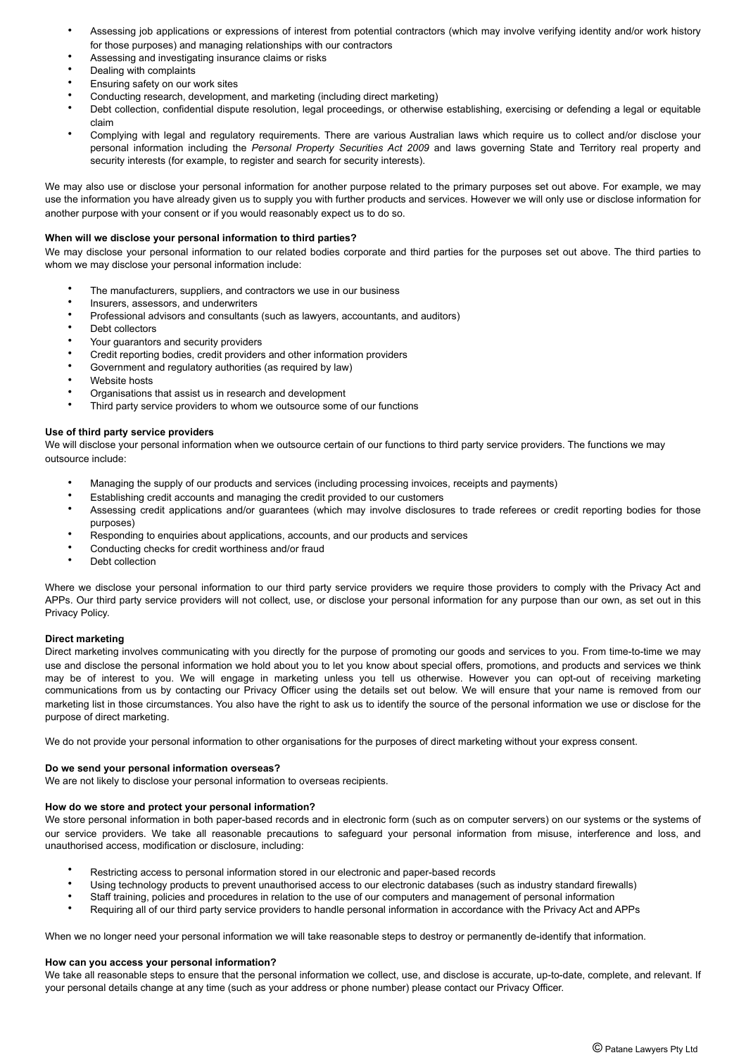- Assessing job applications or expressions of interest from potential contractors (which may involve verifying identity and/or work history for those purposes) and managing relationships with our contractors
- Assessing and investigating insurance claims or risks
- Dealing with complaints
- Ensuring safety on our work sites
- Conducting research, development, and marketing (including direct marketing)
- Debt collection, confidential dispute resolution, legal proceedings, or otherwise establishing, exercising or defending a legal or equitable claim
- Complying with legal and regulatory requirements. There are various Australian laws which require us to collect and/or disclose your personal information including the *Personal Property Securities Act 2009* and laws governing State and Territory real property and security interests (for example, to register and search for security interests).

We may also use or disclose your personal information for another purpose related to the primary purposes set out above. For example, we may use the information you have already given us to supply you with further products and services. However we will only use or disclose information for another purpose with your consent or if you would reasonably expect us to do so.

## **When will we disclose your personal information to third parties?**

We may disclose your personal information to our related bodies corporate and third parties for the purposes set out above. The third parties to whom we may disclose your personal information include:

- The manufacturers, suppliers, and contractors we use in our business
- Insurers, assessors, and underwriters
- Professional advisors and consultants (such as lawyers, accountants, and auditors)
- Debt collectors
- Your guarantors and security providers
- Credit reporting bodies, credit providers and other information providers
- Government and regulatory authorities (as required by law)
- Website hosts
- Organisations that assist us in research and development
- Third party service providers to whom we outsource some of our functions

## **Use of third party service providers**

We will disclose your personal information when we outsource certain of our functions to third party service providers. The functions we may outsource include:

- Managing the supply of our products and services (including processing invoices, receipts and payments)
- Establishing credit accounts and managing the credit provided to our customers
- Assessing credit applications and/or guarantees (which may involve disclosures to trade referees or credit reporting bodies for those purposes)
- Responding to enquiries about applications, accounts, and our products and services
- Conducting checks for credit worthiness and/or fraud
- Debt collection

Where we disclose your personal information to our third party service providers we require those providers to comply with the Privacy Act and APPs. Our third party service providers will not collect, use, or disclose your personal information for any purpose than our own, as set out in this Privacy Policy.

## **Direct marketing**

Direct marketing involves communicating with you directly for the purpose of promoting our goods and services to you. From time-to-time we may use and disclose the personal information we hold about you to let you know about special offers, promotions, and products and services we think may be of interest to you. We will engage in marketing unless you tell us otherwise. However you can opt-out of receiving marketing communications from us by contacting our Privacy Officer using the details set out below. We will ensure that your name is removed from our marketing list in those circumstances. You also have the right to ask us to identify the source of the personal information we use or disclose for the purpose of direct marketing.

We do not provide your personal information to other organisations for the purposes of direct marketing without your express consent.

## **Do we send your personal information overseas?**

We are not likely to disclose your personal information to overseas recipients.

## **How do we store and protect your personal information?**

We store personal information in both paper-based records and in electronic form (such as on computer servers) on our systems or the systems of our service providers. We take all reasonable precautions to safeguard your personal information from misuse, interference and loss, and unauthorised access, modification or disclosure, including:

- Restricting access to personal information stored in our electronic and paper-based records
- Using technology products to prevent unauthorised access to our electronic databases (such as industry standard firewalls)
- Staff training, policies and procedures in relation to the use of our computers and management of personal information
- Requiring all of our third party service providers to handle personal information in accordance with the Privacy Act and APPs

When we no longer need your personal information we will take reasonable steps to destroy or permanently de-identify that information.

## **How can you access your personal information?**

We take all reasonable steps to ensure that the personal information we collect, use, and disclose is accurate, up-to-date, complete, and relevant. If your personal details change at any time (such as your address or phone number) please contact our Privacy Officer.